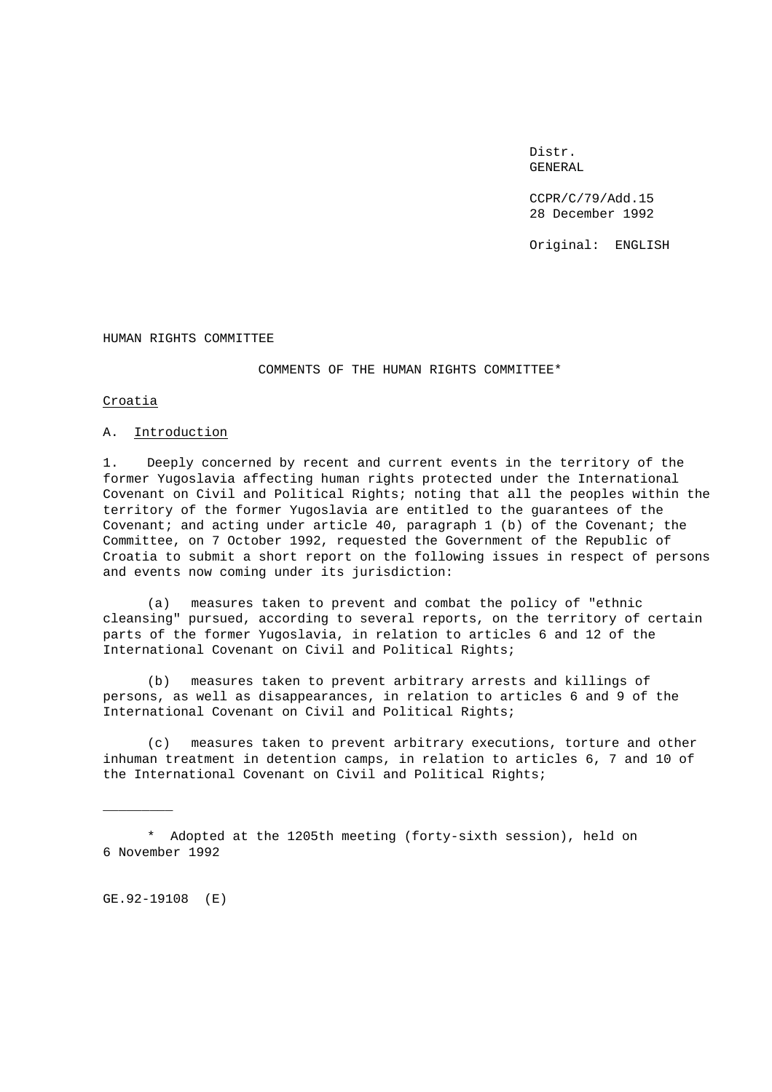Distr. GENERAL

CCPR/C/79/Add.15 28 December 1992

Original: ENGLISH

HUMAN RIGHTS COMMITTEE

COMMENTS OF THE HUMAN RIGHTS COMMITTEE\*

Croatia

# A. Introduction

1. Deeply concerned by recent and current events in the territory of the former Yugoslavia affecting human rights protected under the International Covenant on Civil and Political Rights; noting that all the peoples within the territory of the former Yugoslavia are entitled to the guarantees of the Covenant; and acting under article 40, paragraph 1 (b) of the Covenant; the Committee, on 7 October 1992, requested the Government of the Republic of Croatia to submit a short report on the following issues in respect of persons and events now coming under its jurisdiction:

(a) measures taken to prevent and combat the policy of "ethnic cleansing" pursued, according to several reports, on the territory of certain parts of the former Yugoslavia, in relation to articles 6 and 12 of the International Covenant on Civil and Political Rights;

(b) measures taken to prevent arbitrary arrests and killings of persons, as well as disappearances, in relation to articles 6 and 9 of the International Covenant on Civil and Political Rights;

(c) measures taken to prevent arbitrary executions, torture and other inhuman treatment in detention camps, in relation to articles 6, 7 and 10 of the International Covenant on Civil and Political Rights;

\* Adopted at the 1205th meeting (forty-sixth session), held on 6 November 1992

GE.92-19108 (E)

 $\overline{\phantom{a}}$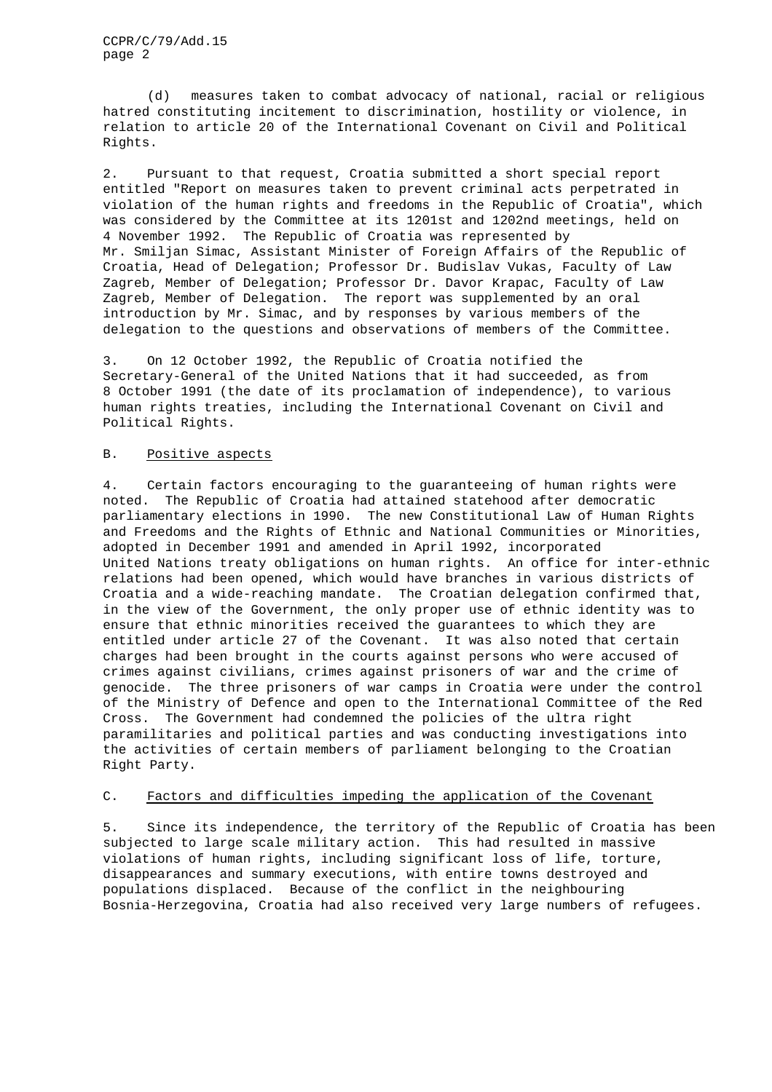CCPR/C/79/Add.15 page 2

(d) measures taken to combat advocacy of national, racial or religious hatred constituting incitement to discrimination, hostility or violence, in relation to article 20 of the International Covenant on Civil and Political Rights.

2. Pursuant to that request, Croatia submitted a short special report entitled "Report on measures taken to prevent criminal acts perpetrated in violation of the human rights and freedoms in the Republic of Croatia", which was considered by the Committee at its 1201st and 1202nd meetings, held on 4 November 1992. The Republic of Croatia was represented by Mr. Smiljan Simac, Assistant Minister of Foreign Affairs of the Republic of Croatia, Head of Delegation; Professor Dr. Budislav Vukas, Faculty of Law Zagreb, Member of Delegation; Professor Dr. Davor Krapac, Faculty of Law Zagreb, Member of Delegation. The report was supplemented by an oral introduction by Mr. Simac, and by responses by various members of the delegation to the questions and observations of members of the Committee.

3. On 12 October 1992, the Republic of Croatia notified the Secretary-General of the United Nations that it had succeeded, as from 8 October 1991 (the date of its proclamation of independence), to various human rights treaties, including the International Covenant on Civil and Political Rights.

#### B. Positive aspects

4. Certain factors encouraging to the guaranteeing of human rights were noted. The Republic of Croatia had attained statehood after democratic parliamentary elections in 1990. The new Constitutional Law of Human Rights and Freedoms and the Rights of Ethnic and National Communities or Minorities, adopted in December 1991 and amended in April 1992, incorporated United Nations treaty obligations on human rights. An office for inter-ethnic relations had been opened, which would have branches in various districts of Croatia and a wide-reaching mandate. The Croatian delegation confirmed that, in the view of the Government, the only proper use of ethnic identity was to ensure that ethnic minorities received the guarantees to which they are entitled under article 27 of the Covenant. It was also noted that certain charges had been brought in the courts against persons who were accused of crimes against civilians, crimes against prisoners of war and the crime of genocide. The three prisoners of war camps in Croatia were under the control of the Ministry of Defence and open to the International Committee of the Red Cross. The Government had condemned the policies of the ultra right paramilitaries and political parties and was conducting investigations into the activities of certain members of parliament belonging to the Croatian Right Party.

## C. Factors and difficulties impeding the application of the Covenant

5. Since its independence, the territory of the Republic of Croatia has been subjected to large scale military action. This had resulted in massive violations of human rights, including significant loss of life, torture, disappearances and summary executions, with entire towns destroyed and populations displaced. Because of the conflict in the neighbouring Bosnia-Herzegovina, Croatia had also received very large numbers of refugees.